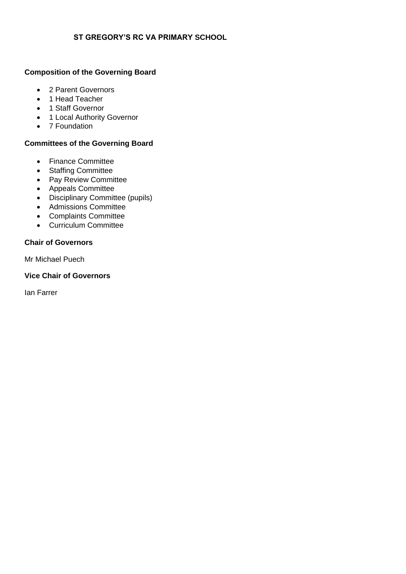## **ST GREGORY'S RC VA PRIMARY SCHOOL**

# **Composition of the Governing Board**

- 2 Parent Governors
- 1 Head Teacher
- 1 Staff Governor
- 1 Local Authority Governor
- 7 Foundation

### **Committees of the Governing Board**

- Finance Committee
- Staffing Committee
- Pay Review Committee
- Appeals Committee
- Disciplinary Committee (pupils)
- Admissions Committee
- Complaints Committee
- Curriculum Committee

### **Chair of Governors**

Mr Michael Puech

#### **Vice Chair of Governors**

Ian Farrer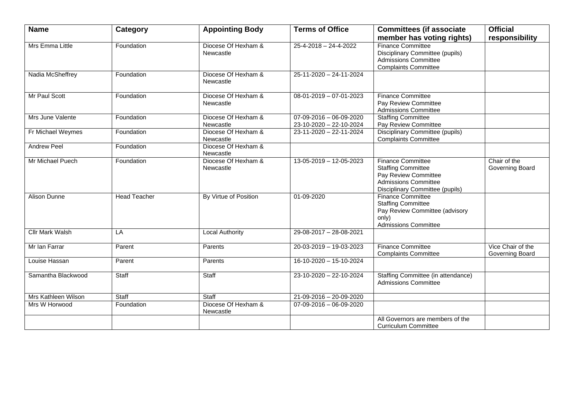| <b>Name</b>            | Category     | <b>Appointing Body</b>           | <b>Terms of Office</b>                                       | <b>Committees (if associate</b>                                                                                                                 | <b>Official</b>                      |
|------------------------|--------------|----------------------------------|--------------------------------------------------------------|-------------------------------------------------------------------------------------------------------------------------------------------------|--------------------------------------|
|                        |              |                                  |                                                              | member has voting rights)                                                                                                                       | responsibility                       |
| Mrs Emma Little        | Foundation   | Diocese Of Hexham &<br>Newcastle | $25 - 4 - 2018 - 24 - 4 - 2022$                              | <b>Finance Committee</b><br>Disciplinary Committee (pupils)<br><b>Admissions Committee</b><br><b>Complaints Committee</b>                       |                                      |
| Nadia McSheffrey       | Foundation   | Diocese Of Hexham &<br>Newcastle | 25-11-2020 - 24-11-2024                                      |                                                                                                                                                 |                                      |
| Mr Paul Scott          | Foundation   | Diocese Of Hexham &<br>Newcastle | $08-01-2019-07-01-2023$                                      | <b>Finance Committee</b><br>Pay Review Committee<br><b>Admissions Committee</b>                                                                 |                                      |
| Mrs June Valente       | Foundation   | Diocese Of Hexham &<br>Newcastle | $07 - 09 - 2016 - 06 - 09 - 2020$<br>23-10-2020 - 22-10-2024 | <b>Staffing Committee</b><br>Pay Review Committee                                                                                               |                                      |
| Fr Michael Weymes      | Foundation   | Diocese Of Hexham &<br>Newcastle | 23-11-2020 - 22-11-2024                                      | Disciplinary Committee (pupils)<br><b>Complaints Committee</b>                                                                                  |                                      |
| <b>Andrew Peel</b>     | Foundation   | Diocese Of Hexham &<br>Newcastle |                                                              |                                                                                                                                                 |                                      |
| Mr Michael Puech       | Foundation   | Diocese Of Hexham &<br>Newcastle | 13-05-2019 - 12-05-2023                                      | <b>Finance Committee</b><br><b>Staffing Committee</b><br>Pay Review Committee<br><b>Admissions Committee</b><br>Disciplinary Committee (pupils) | Chair of the<br>Governing Board      |
| Alison Dunne           | Head Teacher | By Virtue of Position            | 01-09-2020                                                   | <b>Finance Committee</b><br><b>Staffing Committee</b><br>Pay Review Committee (advisory<br>only)<br><b>Admissions Committee</b>                 |                                      |
| <b>Cllr Mark Walsh</b> | LA           | Local Authority                  | 29-08-2017 - 28-08-2021                                      |                                                                                                                                                 |                                      |
| Mr Ian Farrar          | Parent       | Parents                          | 20-03-2019 - 19-03-2023                                      | <b>Finance Committee</b><br><b>Complaints Committee</b>                                                                                         | Vice Chair of the<br>Governing Board |
| Louise Hassan          | Parent       | Parents                          | 16-10-2020 - 15-10-2024                                      |                                                                                                                                                 |                                      |
| Samantha Blackwood     | Staff        | Staff                            | 23-10-2020 - 22-10-2024                                      | Staffing Committee (in attendance)<br><b>Admissions Committee</b>                                                                               |                                      |
| Mrs Kathleen Wilson    | Staff        | Staff                            | 21-09-2016 - 20-09-2020                                      |                                                                                                                                                 |                                      |
| Mrs W Horwood          | Foundation   | Diocese Of Hexham &<br>Newcastle | $07-09-2016-06-09-2020$                                      |                                                                                                                                                 |                                      |
|                        |              |                                  |                                                              | All Governors are members of the<br><b>Curriculum Committee</b>                                                                                 |                                      |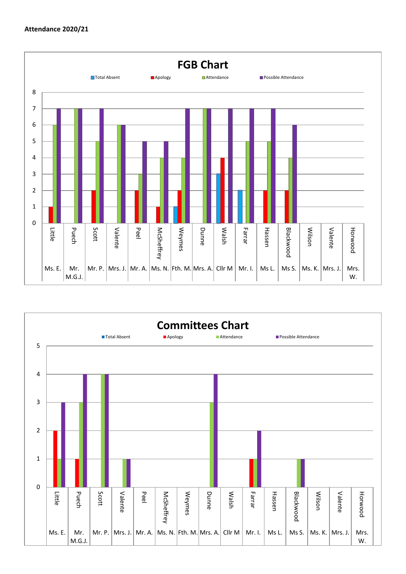

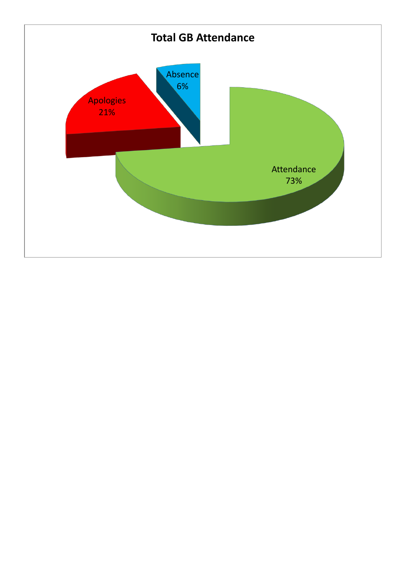